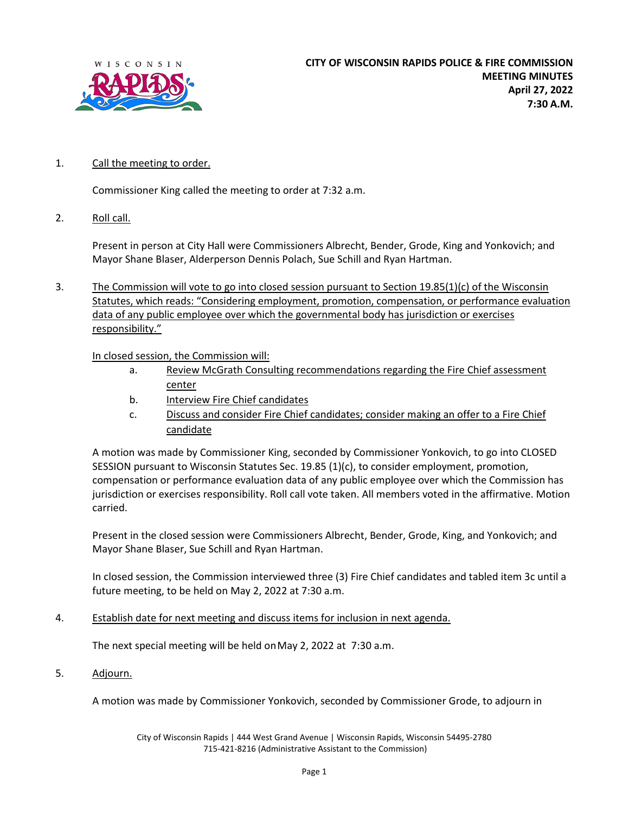

## 1. Call the meeting to order.

Commissioner King called the meeting to order at 7:32 a.m.

2. Roll call.

Present in person at City Hall were Commissioners Albrecht, Bender, Grode, King and Yonkovich; and Mayor Shane Blaser, Alderperson Dennis Polach, Sue Schill and Ryan Hartman.

3. The Commission will vote to go into closed session pursuant to Section 19.85(1)(c) of the Wisconsin Statutes, which reads: "Considering employment, promotion, compensation, or performance evaluation data of any public employee over which the governmental body has jurisdiction or exercises responsibility."

## In closed session, the Commission will:

- a. Review McGrath Consulting recommendations regarding the Fire Chief assessment center
- b. Interview Fire Chief candidates
- c. Discuss and consider Fire Chief candidates; consider making an offer to a Fire Chief candidate

A motion was made by Commissioner King, seconded by Commissioner Yonkovich, to go into CLOSED SESSION pursuant to Wisconsin Statutes Sec. 19.85 (1)(c), to consider employment, promotion, compensation or performance evaluation data of any public employee over which the Commission has jurisdiction or exercises responsibility. Roll call vote taken. All members voted in the affirmative. Motion carried.

Present in the closed session were Commissioners Albrecht, Bender, Grode, King, and Yonkovich; and Mayor Shane Blaser, Sue Schill and Ryan Hartman.

In closed session, the Commission interviewed three (3) Fire Chief candidates and tabled item 3c until a future meeting, to be held on May 2, 2022 at 7:30 a.m.

4. Establish date for next meeting and discuss items for inclusion in next agenda.

The next special meeting will be held onMay 2, 2022 at 7:30 a.m.

5. Adjourn.

A motion was made by Commissioner Yonkovich, seconded by Commissioner Grode, to adjourn in